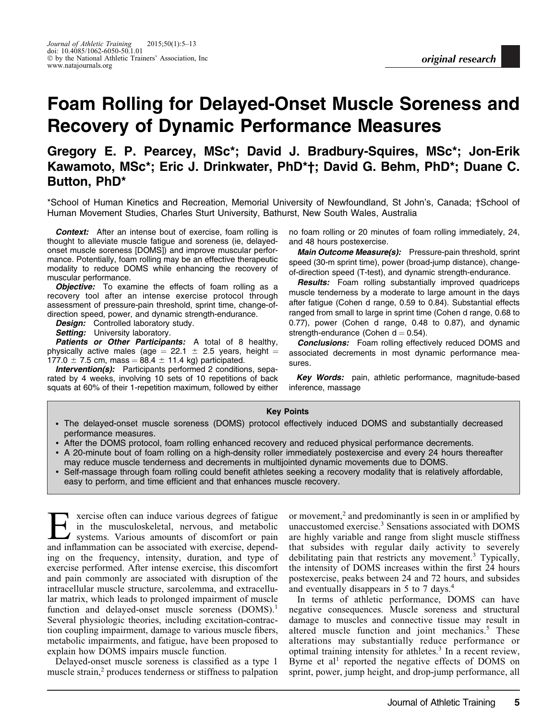# Foam Rolling for Delayed-Onset Muscle Soreness and Recovery of Dynamic Performance Measures

# Gregory E. P. Pearcey, MSc\*; David J. Bradbury-Squires, MSc\*; Jon-Erik Kawamoto, MSc\*; Eric J. Drinkwater, PhD\*†; David G. Behm, PhD\*; Duane C. Button, PhD\*

\*School of Human Kinetics and Recreation, Memorial University of Newfoundland, St John's, Canada; †School of Human Movement Studies, Charles Sturt University, Bathurst, New South Wales, Australia

**Context:** After an intense bout of exercise, foam rolling is thought to alleviate muscle fatigue and soreness (ie, delayedonset muscle soreness [DOMS]) and improve muscular performance. Potentially, foam rolling may be an effective therapeutic modality to reduce DOMS while enhancing the recovery of muscular performance.

**Objective:** To examine the effects of foam rolling as a recovery tool after an intense exercise protocol through assessment of pressure-pain threshold, sprint time, change-ofdirection speed, power, and dynamic strength-endurance.

**Design:** Controlled laboratory study.

Setting: University laboratory.

Patients or Other Participants: A total of 8 healthy, physically active males (age = 22.1  $\pm$  2.5 years, height =  $177.0 \pm 7.5$  cm, mass = 88.4  $\pm$  11.4 kg) participated.

**Intervention(s):** Participants performed 2 conditions, separated by 4 weeks, involving 10 sets of 10 repetitions of back squats at 60% of their 1-repetition maximum, followed by either no foam rolling or 20 minutes of foam rolling immediately, 24, and 48 hours postexercise.

Main Outcome Measure(s): Pressure-pain threshold, sprint speed (30-m sprint time), power (broad-jump distance), changeof-direction speed (T-test), and dynamic strength-endurance.

**Results:** Foam rolling substantially improved quadriceps muscle tenderness by a moderate to large amount in the days after fatigue (Cohen d range, 0.59 to 0.84). Substantial effects ranged from small to large in sprint time (Cohen d range, 0.68 to 0.77), power (Cohen d range, 0.48 to 0.87), and dynamic strength-endurance (Cohen  $d = 0.54$ ).

**Conclusions:** Foam rolling effectively reduced DOMS and associated decrements in most dynamic performance measures.

Key Words: pain, athletic performance, magnitude-based inference, massage

#### Key Points

- The delayed-onset muscle soreness (DOMS) protocol effectively induced DOMS and substantially decreased performance measures.
- After the DOMS protocol, foam rolling enhanced recovery and reduced physical performance decrements.
- A 20-minute bout of foam rolling on a high-density roller immediately postexercise and every 24 hours thereafter may reduce muscle tenderness and decrements in multijointed dynamic movements due to DOMS.
- Self-massage through foam rolling could benefit athletes seeking a recovery modality that is relatively affordable, easy to perform, and time efficient and that enhances muscle recovery.

Exercise often can induce various degrees of fatigue in the musculoskeletal, nervous, and metabolic systems. Various amounts of discomfort or pain and inflammation can be associated with exercise, depending on the frequency, intensity, duration, and type of exercise performed. After intense exercise, this discomfort and pain commonly are associated with disruption of the intracellular muscle structure, sarcolemma, and extracellular matrix, which leads to prolonged impairment of muscle function and delayed-onset muscle soreness (DOMS).<sup>1</sup> Several physiologic theories, including excitation-contraction coupling impairment, damage to various muscle fibers, metabolic impairments, and fatigue, have been proposed to explain how DOMS impairs muscle function.

Delayed-onset muscle soreness is classified as a type 1 muscle strain,<sup>2</sup> produces tenderness or stiffness to palpation or movement, $<sup>2</sup>$  and predominantly is seen in or amplified by</sup> unaccustomed exercise.<sup>3</sup> Sensations associated with DOMS are highly variable and range from slight muscle stiffness that subsides with regular daily activity to severely debilitating pain that restricts any movement.<sup>3</sup> Typically, the intensity of DOMS increases within the first 24 hours postexercise, peaks between 24 and 72 hours, and subsides and eventually disappears in 5 to 7 days.4

In terms of athletic performance, DOMS can have negative consequences. Muscle soreness and structural damage to muscles and connective tissue may result in altered muscle function and joint mechanics.<sup>5</sup> These alterations may substantially reduce performance or optimal training intensity for athletes. $3 \text{ In a recent review},$ Byrne et al<sup>1</sup> reported the negative effects of DOMS on sprint, power, jump height, and drop-jump performance, all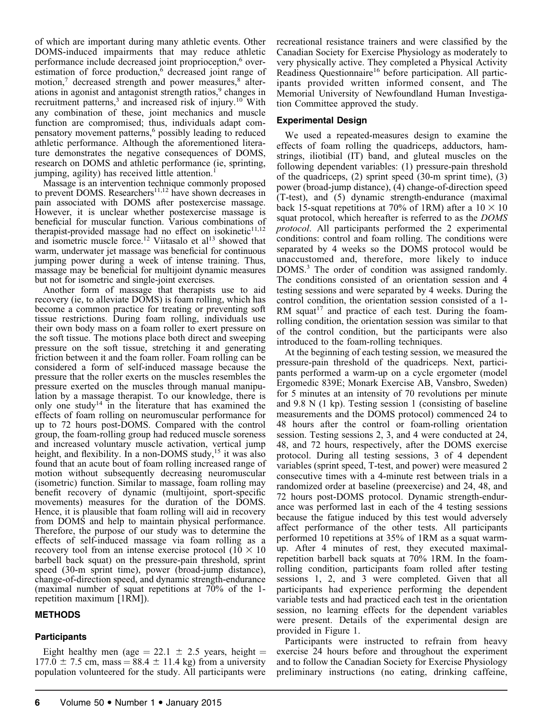of which are important during many athletic events. Other DOMS-induced impairments that may reduce athletic performance include decreased joint proprioception,<sup>6</sup> overestimation of force production,<sup>6</sup> decreased joint range of motion,<sup>7</sup> decreased strength and power measures,<sup>8</sup> alterations in agonist and antagonist strength ratios,<sup>9</sup> changes in recruitment patterns,<sup>3</sup> and increased risk of injury.<sup>10</sup> With any combination of these, joint mechanics and muscle function are compromised; thus, individuals adapt compensatory movement patterns,<sup>6</sup> possibly leading to reduced athletic performance. Although the aforementioned literature demonstrates the negative consequences of DOMS, research on DOMS and athletic performance (ie, sprinting, jumping, agility) has received little attention.<sup>1</sup>

Massage is an intervention technique commonly proposed to prevent DOMS. Researchers<sup>11,12</sup> have shown decreases in pain associated with DOMS after postexercise massage. However, it is unclear whether postexercise massage is beneficial for muscular function. Various combinations of therapist-provided massage had no effect on isokinetic $11,12$ and isometric muscle force.<sup>12</sup> Viitasalo et al<sup>13</sup> showed that warm, underwater jet massage was beneficial for continuous jumping power during a week of intense training. Thus, massage may be beneficial for multijoint dynamic measures but not for isometric and single-joint exercises.

Another form of massage that therapists use to aid recovery (ie, to alleviate DOMS) is foam rolling, which has become a common practice for treating or preventing soft tissue restrictions. During foam rolling, individuals use their own body mass on a foam roller to exert pressure on the soft tissue. The motions place both direct and sweeping pressure on the soft tissue, stretching it and generating friction between it and the foam roller. Foam rolling can be considered a form of self-induced massage because the pressure that the roller exerts on the muscles resembles the pressure exerted on the muscles through manual manipulation by a massage therapist. To our knowledge, there is only one study<sup>14</sup> in the literature that has examined the effects of foam rolling on neuromuscular performance for up to 72 hours post-DOMS. Compared with the control group, the foam-rolling group had reduced muscle soreness and increased voluntary muscle activation, vertical jump height, and flexibility. In a non-DOMS study,<sup>15</sup> it was also found that an acute bout of foam rolling increased range of motion without subsequently decreasing neuromuscular (isometric) function. Similar to massage, foam rolling may benefit recovery of dynamic (multijoint, sport-specific movements) measures for the duration of the DOMS. Hence, it is plausible that foam rolling will aid in recovery from DOMS and help to maintain physical performance. Therefore, the purpose of our study was to determine the effects of self-induced massage via foam rolling as a recovery tool from an intense exercise protocol ( $10 \times 10$ ) barbell back squat) on the pressure-pain threshold, sprint speed (30-m sprint time), power (broad-jump distance), change-of-direction speed, and dynamic strength-endurance (maximal number of squat repetitions at 70% of the 1 repetition maximum [1RM]).

### **METHODS**

### **Participants**

Eight healthy men (age = 22.1  $\pm$  2.5 years, height =  $177.0 \pm 7.5$  cm, mass = 88.4  $\pm$  11.4 kg) from a university population volunteered for the study. All participants were recreational resistance trainers and were classified by the Canadian Society for Exercise Physiology as moderately to very physically active. They completed a Physical Activity Readiness Questionnaire<sup>16</sup> before participation. All participants provided written informed consent, and The Memorial University of Newfoundland Human Investigation Committee approved the study.

# Experimental Design

We used a repeated-measures design to examine the effects of foam rolling the quadriceps, adductors, hamstrings, iliotibial (IT) band, and gluteal muscles on the following dependent variables: (1) pressure-pain threshold of the quadriceps, (2) sprint speed (30-m sprint time), (3) power (broad-jump distance), (4) change-of-direction speed (T-test), and (5) dynamic strength-endurance (maximal back 15-squat repetitions at 70% of 1RM) after a  $10 \times 10$ squat protocol, which hereafter is referred to as the DOMS protocol. All participants performed the 2 experimental conditions: control and foam rolling. The conditions were separated by 4 weeks so the DOMS protocol would be unaccustomed and, therefore, more likely to induce DOMS.<sup>3</sup> The order of condition was assigned randomly. The conditions consisted of an orientation session and 4 testing sessions and were separated by 4 weeks. During the control condition, the orientation session consisted of a 1- RM squat<sup>17</sup> and practice of each test. During the foamrolling condition, the orientation session was similar to that of the control condition, but the participants were also introduced to the foam-rolling techniques.

At the beginning of each testing session, we measured the pressure-pain threshold of the quadriceps. Next, participants performed a warm-up on a cycle ergometer (model Ergomedic 839E; Monark Exercise AB, Vansbro, Sweden) for 5 minutes at an intensity of 70 revolutions per minute and 9.8 N (1 kp). Testing session 1 (consisting of baseline measurements and the DOMS protocol) commenced 24 to 48 hours after the control or foam-rolling orientation session. Testing sessions 2, 3, and 4 were conducted at 24, 48, and 72 hours, respectively, after the DOMS exercise protocol. During all testing sessions, 3 of 4 dependent variables (sprint speed, T-test, and power) were measured 2 consecutive times with a 4-minute rest between trials in a randomized order at baseline (preexercise) and 24, 48, and 72 hours post-DOMS protocol. Dynamic strength-endurance was performed last in each of the 4 testing sessions because the fatigue induced by this test would adversely affect performance of the other tests. All participants performed 10 repetitions at 35% of 1RM as a squat warmup. After 4 minutes of rest, they executed maximalrepetition barbell back squats at 70% 1RM. In the foamrolling condition, participants foam rolled after testing sessions 1, 2, and 3 were completed. Given that all participants had experience performing the dependent variable tests and had practiced each test in the orientation session, no learning effects for the dependent variables were present. Details of the experimental design are provided in Figure 1.

Participants were instructed to refrain from heavy exercise 24 hours before and throughout the experiment and to follow the Canadian Society for Exercise Physiology preliminary instructions (no eating, drinking caffeine,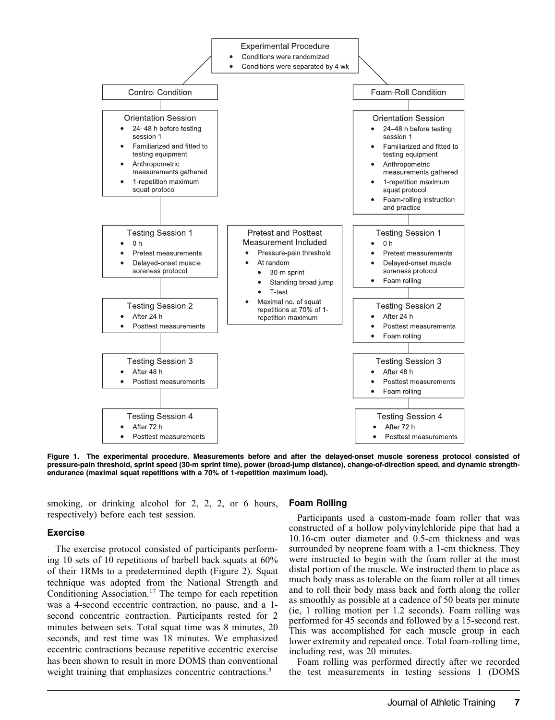

Figure 1. The experimental procedure. Measurements before and after the delayed-onset muscle soreness protocol consisted of pressure-pain threshold, sprint speed (30-m sprint time), power (broad-jump distance), change-of-direction speed, and dynamic strengthendurance (maximal squat repetitions with a 70% of 1-repetition maximum load).

smoking, or drinking alcohol for 2, 2, 2, or 6 hours, respectively) before each test session.

#### Exercise

The exercise protocol consisted of participants performing 10 sets of 10 repetitions of barbell back squats at 60% of their 1RMs to a predetermined depth (Figure 2). Squat technique was adopted from the National Strength and Conditioning Association.<sup>17</sup> The tempo for each repetition was a 4-second eccentric contraction, no pause, and a 1 second concentric contraction. Participants rested for 2 minutes between sets. Total squat time was 8 minutes, 20 seconds, and rest time was 18 minutes. We emphasized eccentric contractions because repetitive eccentric exercise has been shown to result in more DOMS than conventional weight training that emphasizes concentric contractions.<sup>3</sup>

#### Foam Rolling

Participants used a custom-made foam roller that was constructed of a hollow polyvinylchloride pipe that had a 10.16-cm outer diameter and 0.5-cm thickness and was surrounded by neoprene foam with a 1-cm thickness. They were instructed to begin with the foam roller at the most distal portion of the muscle. We instructed them to place as much body mass as tolerable on the foam roller at all times and to roll their body mass back and forth along the roller as smoothly as possible at a cadence of 50 beats per minute (ie, 1 rolling motion per 1.2 seconds). Foam rolling was performed for 45 seconds and followed by a 15-second rest. This was accomplished for each muscle group in each lower extremity and repeated once. Total foam-rolling time, including rest, was 20 minutes.

Foam rolling was performed directly after we recorded the test measurements in testing sessions 1 (DOMS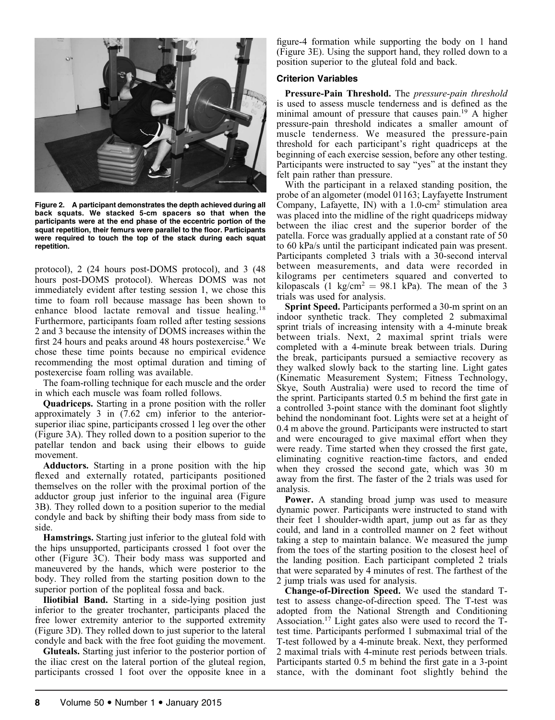

Figure 2. A participant demonstrates the depth achieved during all back squats. We stacked 5-cm spacers so that when the participants were at the end phase of the eccentric portion of the squat repetition, their femurs were parallel to the floor. Participants were required to touch the top of the stack during each squat repetition.

protocol), 2 (24 hours post-DOMS protocol), and 3 (48 hours post-DOMS protocol). Whereas DOMS was not immediately evident after testing session 1, we chose this time to foam roll because massage has been shown to enhance blood lactate removal and tissue healing.<sup>18</sup> Furthermore, participants foam rolled after testing sessions 2 and 3 because the intensity of DOMS increases within the first 24 hours and peaks around 48 hours postexercise.<sup>4</sup> We chose these time points because no empirical evidence recommending the most optimal duration and timing of postexercise foam rolling was available.

The foam-rolling technique for each muscle and the order in which each muscle was foam rolled follows.

Quadriceps. Starting in a prone position with the roller approximately 3 in (7.62 cm) inferior to the anteriorsuperior iliac spine, participants crossed 1 leg over the other (Figure 3A). They rolled down to a position superior to the patellar tendon and back using their elbows to guide movement.

Adductors. Starting in a prone position with the hip flexed and externally rotated, participants positioned themselves on the roller with the proximal portion of the adductor group just inferior to the inguinal area (Figure 3B). They rolled down to a position superior to the medial condyle and back by shifting their body mass from side to side.

Hamstrings. Starting just inferior to the gluteal fold with the hips unsupported, participants crossed 1 foot over the other (Figure 3C). Their body mass was supported and maneuvered by the hands, which were posterior to the body. They rolled from the starting position down to the superior portion of the popliteal fossa and back.

Iliotibial Band. Starting in a side-lying position just inferior to the greater trochanter, participants placed the free lower extremity anterior to the supported extremity (Figure 3D). They rolled down to just superior to the lateral condyle and back with the free foot guiding the movement.

Gluteals. Starting just inferior to the posterior portion of the iliac crest on the lateral portion of the gluteal region, participants crossed 1 foot over the opposite knee in a

figure-4 formation while supporting the body on 1 hand (Figure 3E). Using the support hand, they rolled down to a position superior to the gluteal fold and back.

#### Criterion Variables

Pressure-Pain Threshold. The pressure-pain threshold is used to assess muscle tenderness and is defined as the minimal amount of pressure that causes pain.<sup>19</sup> A higher pressure-pain threshold indicates a smaller amount of muscle tenderness. We measured the pressure-pain threshold for each participant's right quadriceps at the beginning of each exercise session, before any other testing. Participants were instructed to say ''yes'' at the instant they felt pain rather than pressure.

With the participant in a relaxed standing position, the probe of an algometer (model 01163; Layfayette Instrument Company, Lafayette, IN) with a  $1.0\text{-cm}^2$  stimulation area was placed into the midline of the right quadriceps midway between the iliac crest and the superior border of the patella. Force was gradually applied at a constant rate of 50 to 60 kPa/s until the participant indicated pain was present. Participants completed 3 trials with a 30-second interval between measurements, and data were recorded in kilograms per centimeters squared and converted to kilopascals (1 kg/cm<sup>2</sup> = 98.1 kPa). The mean of the 3 trials was used for analysis.

Sprint Speed. Participants performed a 30-m sprint on an indoor synthetic track. They completed 2 submaximal sprint trials of increasing intensity with a 4-minute break between trials. Next, 2 maximal sprint trials were completed with a 4-minute break between trials. During the break, participants pursued a semiactive recovery as they walked slowly back to the starting line. Light gates (Kinematic Measurement System; Fitness Technology, Skye, South Australia) were used to record the time of the sprint. Participants started 0.5 m behind the first gate in a controlled 3-point stance with the dominant foot slightly behind the nondominant foot. Lights were set at a height of 0.4 m above the ground. Participants were instructed to start and were encouraged to give maximal effort when they were ready. Time started when they crossed the first gate, eliminating cognitive reaction-time factors, and ended when they crossed the second gate, which was 30 m away from the first. The faster of the 2 trials was used for analysis.

Power. A standing broad jump was used to measure dynamic power. Participants were instructed to stand with their feet 1 shoulder-width apart, jump out as far as they could, and land in a controlled manner on 2 feet without taking a step to maintain balance. We measured the jump from the toes of the starting position to the closest heel of the landing position. Each participant completed 2 trials that were separated by 4 minutes of rest. The farthest of the 2 jump trials was used for analysis.

Change-of-Direction Speed. We used the standard Ttest to assess change-of-direction speed. The T-test was adopted from the National Strength and Conditioning Association.<sup>17</sup> Light gates also were used to record the  $T$ test time. Participants performed 1 submaximal trial of the T-test followed by a 4-minute break. Next, they performed 2 maximal trials with 4-minute rest periods between trials. Participants started 0.5 m behind the first gate in a 3-point stance, with the dominant foot slightly behind the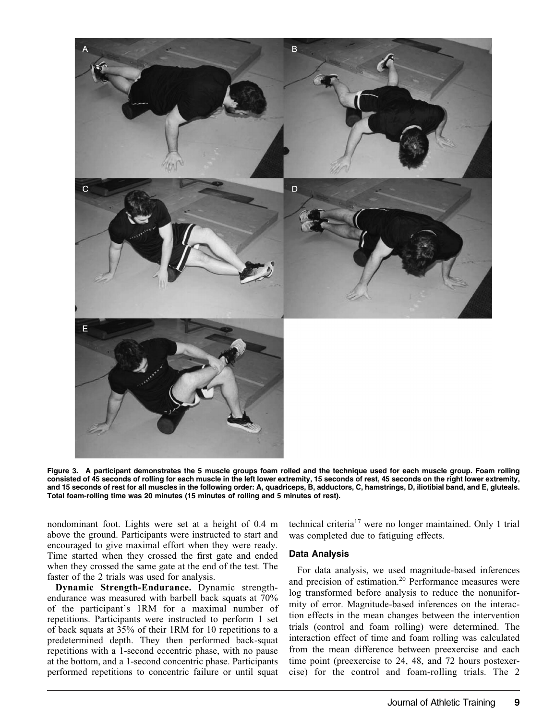

Figure 3. A participant demonstrates the 5 muscle groups foam rolled and the technique used for each muscle group. Foam rolling consisted of 45 seconds of rolling for each muscle in the left lower extremity, 15 seconds of rest, 45 seconds on the right lower extremity, and 15 seconds of rest for all muscles in the following order: A, quadriceps, B, adductors, C, hamstrings, D, iliotibial band, and E, gluteals. Total foam-rolling time was 20 minutes (15 minutes of rolling and 5 minutes of rest).

nondominant foot. Lights were set at a height of 0.4 m above the ground. Participants were instructed to start and encouraged to give maximal effort when they were ready. Time started when they crossed the first gate and ended when they crossed the same gate at the end of the test. The faster of the 2 trials was used for analysis.

Dynamic Strength-Endurance. Dynamic strengthendurance was measured with barbell back squats at 70% of the participant's 1RM for a maximal number of repetitions. Participants were instructed to perform 1 set of back squats at 35% of their 1RM for 10 repetitions to a predetermined depth. They then performed back-squat repetitions with a 1-second eccentric phase, with no pause at the bottom, and a 1-second concentric phase. Participants performed repetitions to concentric failure or until squat

technical criteria<sup>17</sup> were no longer maintained. Only 1 trial was completed due to fatiguing effects.

#### Data Analysis

For data analysis, we used magnitude-based inferences and precision of estimation.20 Performance measures were log transformed before analysis to reduce the nonuniformity of error. Magnitude-based inferences on the interaction effects in the mean changes between the intervention trials (control and foam rolling) were determined. The interaction effect of time and foam rolling was calculated from the mean difference between preexercise and each time point (preexercise to 24, 48, and 72 hours postexercise) for the control and foam-rolling trials. The 2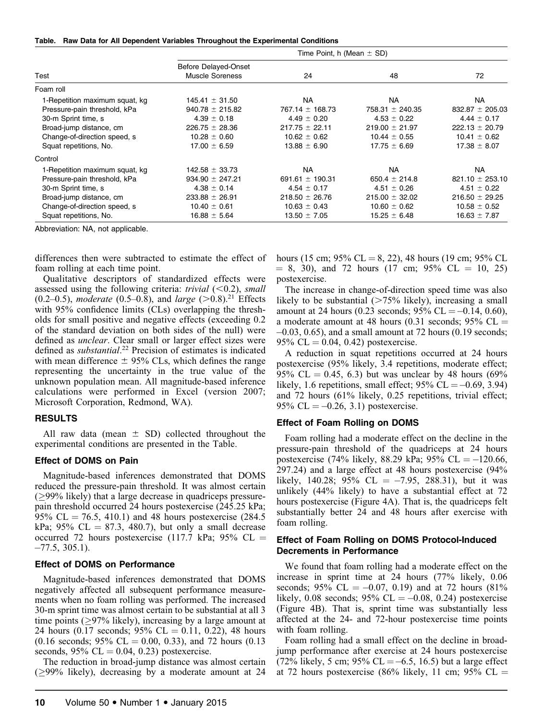|  | Table. Raw Data for All Dependent Variables Throughout the Experimental Conditions |  |  |
|--|------------------------------------------------------------------------------------|--|--|
|  |                                                                                    |  |  |

|                                | Time Point, h (Mean $\pm$ SD) |                     |                     |                     |  |  |
|--------------------------------|-------------------------------|---------------------|---------------------|---------------------|--|--|
|                                | <b>Before Delayed-Onset</b>   | 24                  | 48                  | 72                  |  |  |
| Test                           | <b>Muscle Soreness</b>        |                     |                     |                     |  |  |
| Foam roll                      |                               |                     |                     |                     |  |  |
| 1-Repetition maximum squat, kg | $145.41 \pm 31.50$            | NA.                 | NA.                 | NA                  |  |  |
| Pressure-pain threshold, kPa   | $940.78 \pm 215.82$           | $767.14 \pm 168.73$ | $758.31 \pm 240.35$ | $832.87 \pm 205.03$ |  |  |
| 30-m Sprint time, s            | $4.39 \pm 0.18$               | $4.49 \pm 0.20$     | $4.53 \pm 0.22$     | $4.44 \pm 0.17$     |  |  |
| Broad-jump distance, cm        | $226.75 \pm 28.36$            | $217.75 \pm 22.11$  | $219.00 \pm 21.97$  | $222.13 \pm 20.79$  |  |  |
| Change-of-direction speed, s   | $10.28 \pm 0.60$              | $10.62 \pm 0.62$    | $10.44 \pm 0.55$    | $10.41 \pm 0.62$    |  |  |
| Squat repetitions, No.         | $17.00 \pm 6.59$              | $13.88 \pm 6.90$    | $17.75 \pm 6.69$    | $17.38 \pm 8.07$    |  |  |
| Control                        |                               |                     |                     |                     |  |  |
| 1-Repetition maximum squat, kg | $142.58 \pm 33.73$            | <b>NA</b>           | <b>NA</b>           | NA                  |  |  |
| Pressure-pain threshold, kPa   | $934.90 \pm 247.21$           | 691.61 $\pm$ 190.31 | 650.4 $\pm$ 214.8   | $821.10 \pm 253.10$ |  |  |
| 30-m Sprint time, s            | $4.38 \pm 0.14$               | $4.54 \pm 0.17$     | $4.51 \pm 0.26$     | $4.51 \pm 0.22$     |  |  |
| Broad-jump distance, cm        | $233.88 \pm 26.91$            | $218.50 \pm 26.76$  | $215.00 \pm 32.02$  | $216.50 \pm 29.25$  |  |  |
| Change-of-direction speed, s   | $10.40 \pm 0.61$              | $10.63 \pm 0.43$    | $10.60 \pm 0.62$    | $10.58 \pm 0.52$    |  |  |
| Squat repetitions, No.         | $16.88 \pm 5.64$              | $13.50 \pm 7.05$    | $15.25 \pm 6.48$    | $16.63 \pm 7.87$    |  |  |
|                                |                               |                     |                     |                     |  |  |

Abbreviation: NA, not applicable.

differences then were subtracted to estimate the effect of foam rolling at each time point.

Qualitative descriptors of standardized effects were assessed using the following criteria: trivial  $(< 0.2$ ), small  $(0.2-0.5)$ , *moderate*  $(0.5-0.8)$ , and *large*  $(>0.8)$ .<sup>21</sup> Effects with 95% confidence limits (CLs) overlapping the thresholds for small positive and negative effects (exceeding 0.2 of the standard deviation on both sides of the null) were defined as unclear. Clear small or larger effect sizes were defined as *substantial*.<sup>22</sup> Precision of estimates is indicated with mean difference  $\pm$  95% CLs, which defines the range representing the uncertainty in the true value of the unknown population mean. All magnitude-based inference calculations were performed in Excel (version 2007; Microsoft Corporation, Redmond, WA).

#### RESULTS

All raw data (mean  $\pm$  SD) collected throughout the experimental conditions are presented in the Table.

#### Effect of DOMS on Pain

Magnitude-based inferences demonstrated that DOMS reduced the pressure-pain threshold. It was almost certain  $(>99\%$  likely) that a large decrease in quadriceps pressurepain threshold occurred 24 hours postexercise (245.25 kPa; 95% CL = 76.5, 410.1) and 48 hours postexercise (284.5) kPa; 95% CL  $= 87.3$ , 480.7), but only a small decrease occurred 72 hours postexercise (117.7 kPa; 95% CL  $=$  $-77.5$ , 305.1).

#### Effect of DOMS on Performance

Magnitude-based inferences demonstrated that DOMS negatively affected all subsequent performance measurements when no foam rolling was performed. The increased 30-m sprint time was almost certain to be substantial at all 3 time points ( $\geq$ 97% likely), increasing by a large amount at 24 hours  $(0.17 \text{ seconds}; 95\% \text{ CL} = 0.11, 0.22)$ , 48 hours  $(0.16$  seconds; 95% CL = 0.00, 0.33), and 72 hours  $(0.13)$ seconds,  $95\%$  CL = 0.04, 0.23) postexercise.

The reduction in broad-jump distance was almost certain  $(299\%$  likely), decreasing by a moderate amount at 24

hours (15 cm; 95% CL = 8, 22), 48 hours (19 cm; 95% CL  $= 8, 30$ , and 72 hours (17 cm; 95% CL  $= 10, 25$ ) postexercise.

The increase in change-of-direction speed time was also likely to be substantial  $($ >75% likely), increasing a small amount at 24 hours (0.23 seconds;  $95\%$  CL = -0.14, 0.60), a moderate amount at 48 hours (0.31 seconds; 95%  $CL =$  $-0.03$ ,  $0.65$ ), and a small amount at 72 hours  $(0.19$  seconds; 95% CL = 0.04, 0.42) postexercise.

A reduction in squat repetitions occurred at 24 hours postexercise (95% likely, 3.4 repetitions, moderate effect; 95% CL = 0.45, 6.3) but was unclear by 48 hours (69%) likely, 1.6 repetitions, small effect;  $95\%$  CL =  $-0.69$ , 3.94) and 72 hours (61% likely, 0.25 repetitions, trivial effect; 95% CL =  $-0.26$ , 3.1) postexercise.

#### Effect of Foam Rolling on DOMS

Foam rolling had a moderate effect on the decline in the pressure-pain threshold of the quadriceps at 24 hours postexercise (74% likely, 88.29 kPa; 95% CL =  $-120.66$ , 297.24) and a large effect at 48 hours postexercise (94% likely, 140.28; 95% CL =  $-7.95$ , 288.31), but it was unlikely (44% likely) to have a substantial effect at 72 hours postexercise (Figure 4A). That is, the quadriceps felt substantially better 24 and 48 hours after exercise with foam rolling.

### Effect of Foam Rolling on DOMS Protocol-Induced Decrements in Performance

We found that foam rolling had a moderate effect on the increase in sprint time at 24 hours (77% likely, 0.06 seconds; 95% CL =  $-0.07$ , 0.19) and at 72 hours (81%) likely, 0.08 seconds; 95% CL =  $-0.08$ , 0.24) postexercise (Figure 4B). That is, sprint time was substantially less affected at the 24- and 72-hour postexercise time points with foam rolling.

Foam rolling had a small effect on the decline in broadjump performance after exercise at 24 hours postexercise  $(72\%$  likely, 5 cm; 95% CL = -6.5, 16.5) but a large effect at 72 hours postexercise (86% likely, 11 cm; 95% CL  $=$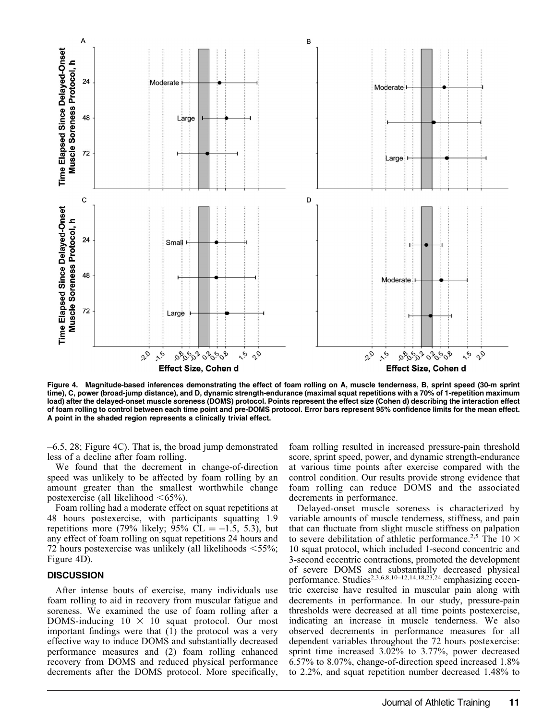

Figure 4. Magnitude-based inferences demonstrating the effect of foam rolling on A, muscle tenderness, B, sprint speed (30-m sprint time), C, power (broad-jump distance), and D, dynamic strength-endurance (maximal squat repetitions with a 70% of 1-repetition maximum load) after the delayed-onset muscle soreness (DOMS) protocol. Points represent the effect size (Cohen d) describing the interaction effect of foam rolling to control between each time point and pre-DOMS protocol. Error bars represent 95% confidence limits for the mean effect. A point in the shaded region represents a clinically trivial effect.

6.5, 28; Figure 4C). That is, the broad jump demonstrated less of a decline after foam rolling.

We found that the decrement in change-of-direction speed was unlikely to be affected by foam rolling by an amount greater than the smallest worthwhile change postexercise (all likelihood  $\leq 65\%$ ).

Foam rolling had a moderate effect on squat repetitions at 48 hours postexercise, with participants squatting 1.9 repetitions more (79% likely; 95% CL =  $-1.5$ , 5.3), but any effect of foam rolling on squat repetitions 24 hours and 72 hours postexercise was unlikely (all likelihoods  $\leq 55\%$ ; Figure 4D).

#### **DISCUSSION**

After intense bouts of exercise, many individuals use foam rolling to aid in recovery from muscular fatigue and soreness. We examined the use of foam rolling after a DOMS-inducing  $10 \times 10$  squat protocol. Our most important findings were that (1) the protocol was a very effective way to induce DOMS and substantially decreased performance measures and (2) foam rolling enhanced recovery from DOMS and reduced physical performance decrements after the DOMS protocol. More specifically, foam rolling resulted in increased pressure-pain threshold score, sprint speed, power, and dynamic strength-endurance at various time points after exercise compared with the control condition. Our results provide strong evidence that foam rolling can reduce DOMS and the associated decrements in performance.

Delayed-onset muscle soreness is characterized by variable amounts of muscle tenderness, stiffness, and pain that can fluctuate from slight muscle stiffness on palpation to severe debilitation of athletic performance.<sup>2,5</sup> The 10  $\times$ 10 squat protocol, which included 1-second concentric and 3-second eccentric contractions, promoted the development of severe DOMS and substantially decreased physical performance. Studies<sup>2,3,6,8,10–12,14,18,23,24</sup> emphasizing eccentric exercise have resulted in muscular pain along with decrements in performance. In our study, pressure-pain thresholds were decreased at all time points postexercise, indicating an increase in muscle tenderness. We also observed decrements in performance measures for all dependent variables throughout the 72 hours postexercise: sprint time increased 3.02% to 3.77%, power decreased 6.57% to 8.07%, change-of-direction speed increased 1.8% to 2.2%, and squat repetition number decreased 1.48% to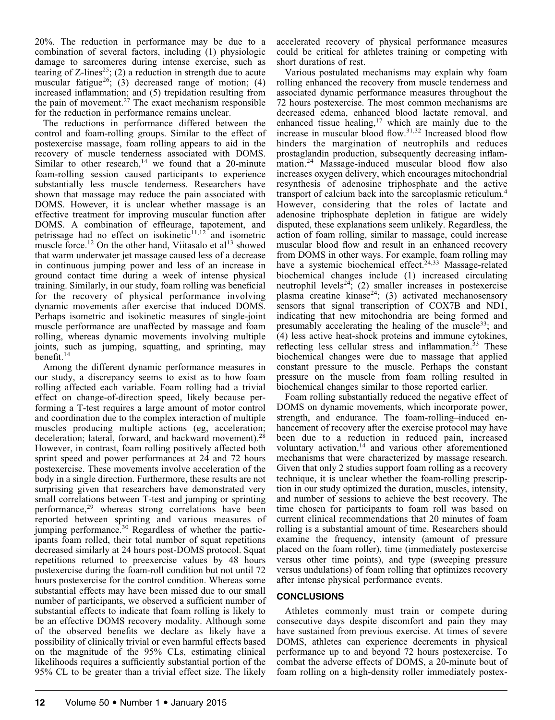20%. The reduction in performance may be due to a combination of several factors, including (1) physiologic damage to sarcomeres during intense exercise, such as tearing of Z-lines<sup>25</sup>; (2) a reduction in strength due to acute muscular fatigue<sup>26</sup>; (3) decreased range of motion; (4) increased inflammation; and (5) trepidation resulting from the pain of movement.<sup>27</sup> The exact mechanism responsible for the reduction in performance remains unclear.

The reductions in performance differed between the control and foam-rolling groups. Similar to the effect of postexercise massage, foam rolling appears to aid in the recovery of muscle tenderness associated with DOMS. Similar to other research, $14$  we found that a 20-minute foam-rolling session caused participants to experience substantially less muscle tenderness. Researchers have shown that massage may reduce the pain associated with DOMS. However, it is unclear whether massage is an effective treatment for improving muscular function after DOMS. A combination of effleurage, tapotement, and petrissage had no effect on isokinetic $11,12$  and isometric muscle force.<sup>12</sup> On the other hand, Viitasalo et al<sup>13</sup> showed that warm underwater jet massage caused less of a decrease in continuous jumping power and less of an increase in ground contact time during a week of intense physical training. Similarly, in our study, foam rolling was beneficial for the recovery of physical performance involving dynamic movements after exercise that induced DOMS. Perhaps isometric and isokinetic measures of single-joint muscle performance are unaffected by massage and foam rolling, whereas dynamic movements involving multiple joints, such as jumping, squatting, and sprinting, may benefit.14

Among the different dynamic performance measures in our study, a discrepancy seems to exist as to how foam rolling affected each variable. Foam rolling had a trivial effect on change-of-direction speed, likely because performing a T-test requires a large amount of motor control and coordination due to the complex interaction of multiple muscles producing multiple actions (eg, acceleration; deceleration; lateral, forward, and backward movement).<sup>28</sup> However, in contrast, foam rolling positively affected both sprint speed and power performances at 24 and 72 hours postexercise. These movements involve acceleration of the body in a single direction. Furthermore, these results are not surprising given that researchers have demonstrated very small correlations between T-test and jumping or sprinting performance,<sup>29</sup> whereas strong correlations have been reported between sprinting and various measures of jumping performance.<sup>30</sup> Regardless of whether the participants foam rolled, their total number of squat repetitions decreased similarly at 24 hours post-DOMS protocol. Squat repetitions returned to preexercise values by 48 hours postexercise during the foam-roll condition but not until 72 hours postexercise for the control condition. Whereas some substantial effects may have been missed due to our small number of participants, we observed a sufficient number of substantial effects to indicate that foam rolling is likely to be an effective DOMS recovery modality. Although some of the observed benefits we declare as likely have a possibility of clinically trivial or even harmful effects based on the magnitude of the 95% CLs, estimating clinical likelihoods requires a sufficiently substantial portion of the 95% CL to be greater than a trivial effect size. The likely

accelerated recovery of physical performance measures could be critical for athletes training or competing with short durations of rest.

Various postulated mechanisms may explain why foam rolling enhanced the recovery from muscle tenderness and associated dynamic performance measures throughout the 72 hours postexercise. The most common mechanisms are decreased edema, enhanced blood lactate removal, and enhanced tissue healing,<sup>17</sup> which are mainly due to the increase in muscular blood flow.31,32 Increased blood flow hinders the margination of neutrophils and reduces prostaglandin production, subsequently decreasing inflammation.<sup>24</sup> Massage-induced muscular blood flow also increases oxygen delivery, which encourages mitochondrial resynthesis of adenosine triphosphate and the active transport of calcium back into the sarcoplasmic reticulum.4 However, considering that the roles of lactate and adenosine triphosphate depletion in fatigue are widely disputed, these explanations seem unlikely. Regardless, the action of foam rolling, similar to massage, could increase muscular blood flow and result in an enhanced recovery from DOMS in other ways. For example, foam rolling may have a systemic biochemical effect.<sup>24,33</sup> Massage-related biochemical changes include (1) increased circulating neutrophil levels<sup>24</sup>; (2) smaller increases in postexercise plasma creatine kinase<sup>24</sup>; (3) activated mechanosensory sensors that signal transcription of COX7B and ND1, indicating that new mitochondria are being formed and presumably accelerating the healing of the muscle<sup>33</sup>; and (4) less active heat-shock proteins and immune cytokines, reflecting less cellular stress and inflammation.<sup>33</sup> These biochemical changes were due to massage that applied constant pressure to the muscle. Perhaps the constant pressure on the muscle from foam rolling resulted in biochemical changes similar to those reported earlier.

Foam rolling substantially reduced the negative effect of DOMS on dynamic movements, which incorporate power, strength, and endurance. The foam-rolling–induced enhancement of recovery after the exercise protocol may have been due to a reduction in reduced pain, increased voluntary activation,<sup>14</sup> and various other aforementioned mechanisms that were characterized by massage research. Given that only 2 studies support foam rolling as a recovery technique, it is unclear whether the foam-rolling prescription in our study optimized the duration, muscles, intensity, and number of sessions to achieve the best recovery. The time chosen for participants to foam roll was based on current clinical recommendations that 20 minutes of foam rolling is a substantial amount of time. Researchers should examine the frequency, intensity (amount of pressure placed on the foam roller), time (immediately postexercise versus other time points), and type (sweeping pressure versus undulations) of foam rolling that optimizes recovery after intense physical performance events.

# **CONCLUSIONS**

Athletes commonly must train or compete during consecutive days despite discomfort and pain they may have sustained from previous exercise. At times of severe DOMS, athletes can experience decrements in physical performance up to and beyond 72 hours postexercise. To combat the adverse effects of DOMS, a 20-minute bout of foam rolling on a high-density roller immediately postex-